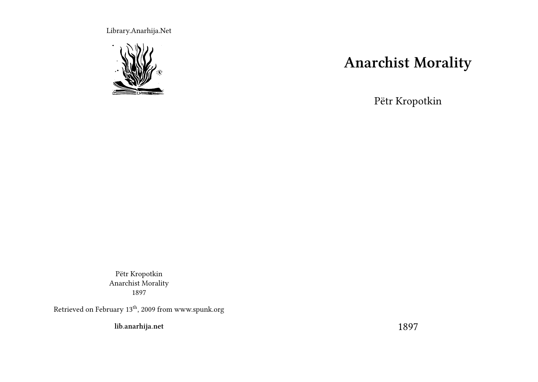Library.Anarhija.Net



# **Anarchist Morality**

Pëtr Kropotkin

Pëtr Kropotkin Anarchist Morality 1897

Retrieved on February 13<sup>th</sup>, 2009 from www.spunk.org

**lib.anarhija.net**

1897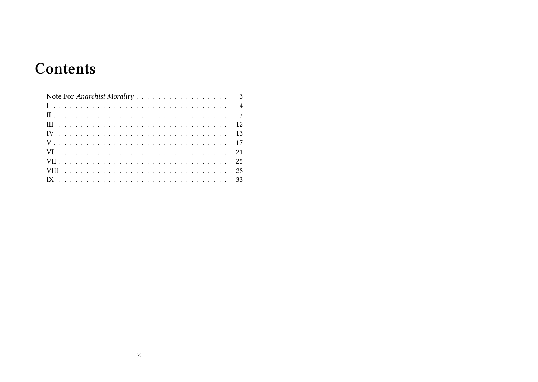# Contents

| Note For Anarchist Morality 3 |    |
|-------------------------------|----|
|                               |    |
|                               |    |
|                               | 12 |
| 13                            |    |
|                               |    |
|                               |    |
| 25                            |    |
| - 28                          |    |
|                               |    |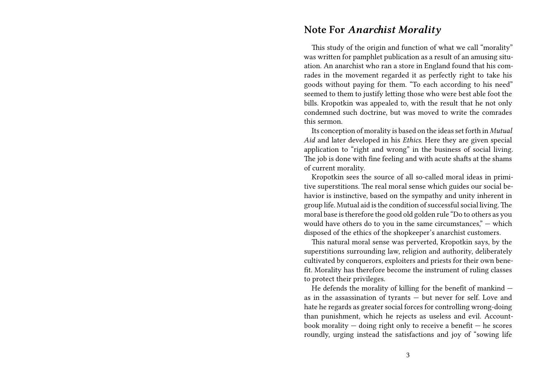#### **Note For** *Anarchist Morality*

This study of the origin and function of what we call "morality" was written for pamphlet publication as a result of an amusing situation. An anarchist who ran a store in England found that his comrades in the movement regarded it as perfectly right to take his goods without paying for them. "To each according to his need" seemed to them to justify letting those who were best able foot the bills. Kropotkin was appealed to, with the result that he not only condemned such doctrine, but was moved to write the comrades this sermon.

Its conception of morality is based on the ideas set forth in *Mutual Aid* and later developed in his *Ethics*. Here they are given special application to "right and wrong" in the business of social living. The job is done with fine feeling and with acute shafts at the shams of current morality.

Kropotkin sees the source of all so-called moral ideas in primitive superstitions. The real moral sense which guides our social behavior is instinctive, based on the sympathy and unity inherent in group life. Mutual aid is the condition of successful social living.The moral base is therefore the good old golden rule "Do to others as you would have others do to you in the same circumstances," — which disposed of the ethics of the shopkeeper's anarchist customers.

This natural moral sense was perverted, Kropotkin says, by the superstitions surrounding law, religion and authority, deliberately cultivated by conquerors, exploiters and priests for their own benefit. Morality has therefore become the instrument of ruling classes to protect their privileges.

He defends the morality of killing for the benefit of mankind as in the assassination of tyrants — but never for self. Love and hate he regards as greater social forces for controlling wrong-doing than punishment, which he rejects as useless and evil. Accountbook morality  $-$  doing right only to receive a benefit  $-$  he scores roundly, urging instead the satisfactions and joy of "sowing life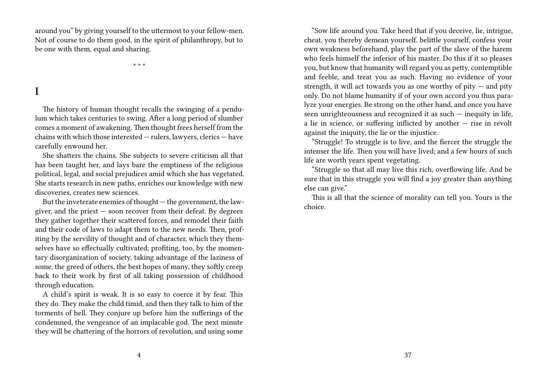around you" by giving yourself to the uttermost to your fellow-men. Not of course to do them good, in the spirit of philanthropy, but to be one with them, equal and sharing.

\* \* \*

# **I**

The history of human thought recalls the swinging of a pendulum which takes centuries to swing. After a long period of slumber comes a moment of awakening. Then thought frees herself from the chains with which those interested — rulers, lawyers, clerics — have carefully enwound her.

She shatters the chains. She subjects to severe criticism all that has been taught her, and lays bare the emptiness of the religious political, legal, and social prejudices amid which she has vegetated. She starts research in new paths, enriches our knowledge with new discoveries, creates new sciences.

But the inveterate enemies of thought — the government, the lawgiver, and the priest  $-$  soon recover from their defeat. By degrees they gather together their scattered forces, and remodel their faith and their code of laws to adapt them to the new needs. Then, profiting by the servility of thought and of character, which they themselves have so effectually cultivated; profiting, too, by the momentary disorganization of society, taking advantage of the laziness of some, the greed of others, the best hopes of many, they softly creep back to their work by first of all taking possession of childhood through education.

A child's spirit is weak. It is so easy to coerce it by fear. This they do. They make the child timid, and then they talk to him of the torments of hell. They conjure up before him the sufferings of the condemned, the vengeance of an implacable god. The next minute they will be chattering of the horrors of revolution, and using some

"Sow life around you. Take heed that if you deceive, lie, intrigue, cheat, you thereby demean yourself. belittle yourself, confess your own weakness beforehand, play the part of the slave of the harem who feels himself the inferior of his master. Do this if it so pleases you, but know that humanity will regard you as petty, contemptible and feeble, and treat you as such. Having no evidence of your strength, it will act towards you as one worthy of pity  $-$  and pity only. Do not blame humanity if of your own accord you thus paralyze your energies. Be strong on the other hand, and once you have seen unrighteousness and recognized it as such — inequity in life, a lie in science, or suffering inflicted by another — rise in revolt against the iniquity, the lie or the injustice.

"Struggle! To struggle is to live, and the fiercer the struggle the intenser the life. Then you will have lived; and a few hours of such life are worth years spent vegetating.

"Struggle so that all may live this rich, overflowing life. And be sure that in this struggle you will find a joy greater than anything else can give."

This is all that the science of morality can tell you. Yours is the choice.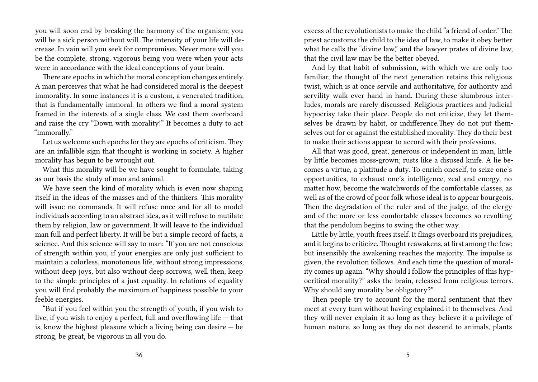you will soon end by breaking the harmony of the organism; you will be a sick person without will. The intensity of your life will decrease. In vain will you seek for compromises. Never more will you be the complete, strong, vigorous being you were when your acts were in accordance with the ideal conceptions of your brain.

There are epochs in which the moral conception changes entirely. A man perceives that what he had considered moral is the deepest immorality. In some instances it is a custom, a venerated tradition, that is fundamentally immoral. In others we find a moral system framed in the interests of a single class. We cast them overboard and raise the cry "Down with morality!" It becomes a duty to act "immorally."

Let us welcome such epochs for they are epochs of criticism.They are an infallible sign that thought is working in society. A higher morality has begun to be wrought out.

What this morality will be we have sought to formulate, taking as our basis the study of man and animal.

We have seen the kind of morality which is even now shaping itself in the ideas of the masses and of the thinkers. This morality will issue no commands. It will refuse once and for all to model individuals according to an abstract idea, as it will refuse to mutilate them by religion, law or government. It will leave to the individual man full and perfect liberty. It will be but a simple record of facts, a science. And this science will say to man: "If you are not conscious of strength within you, if your energies are only just sufficient to maintain a colorless, monotonous life, without strong impressions, without deep joys, but also without deep sorrows, well then, keep to the simple principles of a just equality. In relations of equality you will find probably the maximum of happiness possible to your feeble energies.

"But if you feel within you the strength of youth, if you wish to live, if you wish to enjoy a perfect, full and overflowing life — that is, know the highest pleasure which a living being can desire  $-$  be strong, be great, be vigorous in all you do.

excess of the revolutionists to make the child "a friend of order." The priest accustoms the child to the idea of law, to make it obey better what he calls the "divine law," and the lawyer prates of divine law, that the civil law may be the better obeyed.

And by that habit of submission, with which we are only too familiar, the thought of the next generation retains this religious twist, which is at once servile and authoritative, for authority and servility walk ever hand in hand. During these slumbrous interludes, morals are rarely discussed. Religious practices and judicial hypocrisy take their place. People do not criticize, they let themselves be drawn by habit, or indifference.They do not put themselves out for or against the established morality. They do their best to make their actions appear to accord with their professions.

All that was good, great, generous or independent in man, little by little becomes moss-grown; rusts like a disused knife. A lie becomes a virtue, a platitude a duty. To enrich oneself, to seize one's opportunities, to exhaust one's intelligence, zeal and energy, no matter how, become the watchwords of the comfortable classes, as well as of the crowd of poor folk whose ideal is to appear bourgeois. Then the degradation of the ruler and of the judge, of the clergy and of the more or less comfortable classes becomes so revolting that the pendulum begins to swing the other way.

Little by little, youth frees itself. It flings overboard its prejudices, and it begins to criticize. Thought reawakens, at first among the few; but insensibly the awakening reaches the majority. The impulse is given, the revolution follows. And each time the question of morality comes up again. "Why should I follow the principles of this hypocritical morality?" asks the brain, released from religious terrors. Why should any morality be obligatory?"

Then people try to account for the moral sentiment that they meet at every turn without having explained it to themselves. And they will never explain it so long as they believe it a privilege of human nature, so long as they do not descend to animals, plants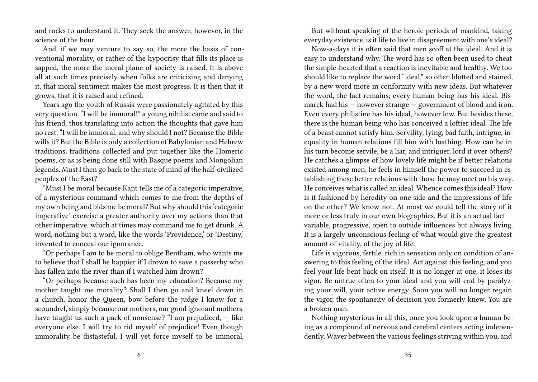and rocks to understand it. They seek the answer, however, in the science of the hour.

And, if we may venture to say so, the more the basis of conventional morality, or rather of the hypocrisy that fills its place is sapped, the more the moral plane of society is raised. It is above all at such times precisely when folks are criticizing and denying it, that moral sentiment makes the most progress. It is then that it grows, that it is raised and refined.

Years ago the youth of Russia were passionately agitated by this very question. "I will be immoral!" a young nihilist came and said to his friend, thus translating into action the thoughts that gave him no rest. "I will be immoral, and why should I not? Because the Bible wills it? But the Bible is only a collection of Babylonian and Hebrew traditions, traditions collected and put together like the Homeric poems, or as is being done still with Basque poems and Mongolian legends. Must I then go back to the state of mind of the half-civilized peoples of the East?

"Must I be moral because Kant tells me of a categoric imperative, of a mysterious command which comes to me from the depths of my own being and bids me be moral? But why should this 'categoric imperative' exercise a greater authority over my actions than that other imperative, which at times may command me to get drunk. A word, nothing but a word, like the words 'Providence,' or 'Destiny,' invented to conceal our ignorance.

"Or perhaps I am to be moral to oblige Bentham, who wants me to believe that I shall be happier if I drown to save a passerby who has fallen into the river than if I watched him drown?

"Or perhaps because such has been my education? Because my mother taught me morality? Shall I then go and kneel down in a church, honor the Queen, bow before the judge I know for a scoundrel, simply because our mothers, our good ignorant mothers, have taught us such a pack of nonsense? "I am prejudiced, — like everyone else. I will try to rid myself of prejudice! Even though immorality be distasteful, I will yet force myself to be immoral,

But without speaking of the heroic periods of mankind, taking everyday existence, is it life to live in disagreement with one's ideal?

Now-a-days it is often said that men scoff at the ideal. And it is easy to understand why. The word has so often been used to cheat the simple-hearted that a reaction is inevitable and healthy. We too should like to replace the word "ideal," so often blotted and stained, by a new word more in conformity with new ideas. But whatever the word, the fact remains; every human being has his ideal. Bismarck had his — however strange — government of blood and iron. Even every philistine has his ideal, however low. But besides these, there is the human being who has conceived a loftier ideal. The life of a beast cannot satisfy him. Servility, lying, bad faith, intrigue, inequality in human relations fill him with loathing. How can he in his turn become servile, be a liar, and intriguer, lord it over others? He catches a glimpse of how lovely life might be if better relations existed among men; he feels in himself the power to succeed in establishing these better relations with those he may meet on his way. He conceives what is called an ideal. Whence comes this ideal? How is it fashioned by heredity on one side and the impressions of life on the other? We know not. At most we could tell the story of it more or less truly in our own biographies. But it is an actual fact variable, progressive, open to outside influences but always living. It is a largely unconscious feeling of what would give the greatest amount of vitality, of the joy of life.

Life is vigorous, fertile. rich in sensation only on condition of answering to this feeling of the ideal. Act against this feeling, and you feel your life bent back on itself. It is no longer at one, it loses its vigor. Be untrue often to your ideal and you will end by paralyzing your will, your active energy. Soon you will no longer regain the vigor, the spontaneity of decision you formerly knew. You are a broken man.

Nothing mysterious in all this, once you look upon a human being as a compound of nervous and cerebral centers acting independently. Waver between the various feelings striving within you, and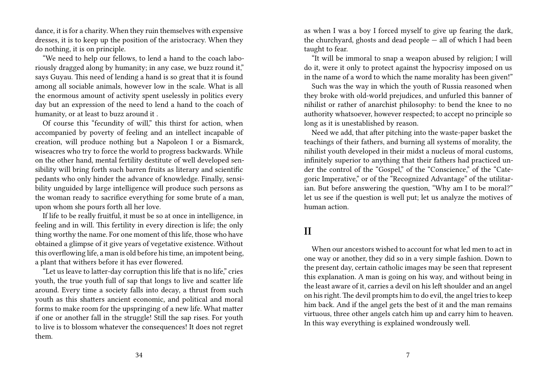dance, it is for a charity. When they ruin themselves with expensive dresses, it is to keep up the position of the aristocracy. When they do nothing, it is on principle.

"We need to help our fellows, to lend a hand to the coach laboriously dragged along by humanity; in any case, we buzz round it," says Guyau. This need of lending a hand is so great that it is found among all sociable animals, however low in the scale. What is all the enormous amount of activity spent uselessly in politics every day but an expression of the need to lend a hand to the coach of humanity, or at least to buzz around it .

Of course this "fecundity of will," this thirst for action, when accompanied by poverty of feeling and an intellect incapable of creation, will produce nothing but a Napoleon I or a Bismarck, wiseacres who try to force the world to progress backwards. While on the other hand, mental fertility destitute of well developed sensibility will bring forth such barren fruits as literary and scientific pedants who only hinder the advance of knowledge. Finally, sensibility unguided by large intelligence will produce such persons as the woman ready to sacrifice everything for some brute of a man, upon whom she pours forth all her love.

If life to be really fruitful, it must be so at once in intelligence, in feeling and in will. This fertility in every direction is life; the only thing worthy the name. For one moment of this life, those who have obtained a glimpse of it give years of vegetative existence. Without this overflowing life, a man is old before his time, an impotent being, a plant that withers before it has ever flowered.

"Let us leave to latter-day corruption this life that is no life," cries youth, the true youth full of sap that longs to live and scatter life around. Every time a society falls into decay, a thrust from such youth as this shatters ancient economic, and political and moral forms to make room for the upspringing of a new life. What matter if one or another fall in the struggle! Still the sap rises. For youth to live is to blossom whatever the consequences! It does not regret them.

as when I was a boy I forced myself to give up fearing the dark, the churchyard, ghosts and dead people — all of which I had been taught to fear.

"It will be immoral to snap a weapon abused by religion; I will do it, were it only to protect against the hypocrisy imposed on us in the name of a word to which the name morality has been given!"

Such was the way in which the youth of Russia reasoned when they broke with old-world prejudices, and unfurled this banner of nihilist or rather of anarchist philosophy: to bend the knee to no authority whatsoever, however respected; to accept no principle so long as it is unestablished by reason.

Need we add, that after pitching into the waste-paper basket the teachings of their fathers, and burning all systems of morality, the nihilist youth developed in their midst a nucleus of moral customs, infinitely superior to anything that their fathers had practiced under the control of the "Gospel," of the "Conscience," of the "Categoric Imperative," or of the "Recognized Advantage" of the utilitarian. But before answering the question, "Why am I to be moral?" let us see if the question is well put; let us analyze the motives of human action.

### **II**

When our ancestors wished to account for what led men to act in one way or another, they did so in a very simple fashion. Down to the present day, certain catholic images may be seen that represent this explanation. A man is going on his way, and without being in the least aware of it, carries a devil on his left shoulder and an angel on his right. The devil prompts him to do evil, the angel tries to keep him back. And if the angel gets the best of it and the man remains virtuous, three other angels catch him up and carry him to heaven. In this way everything is explained wondrously well.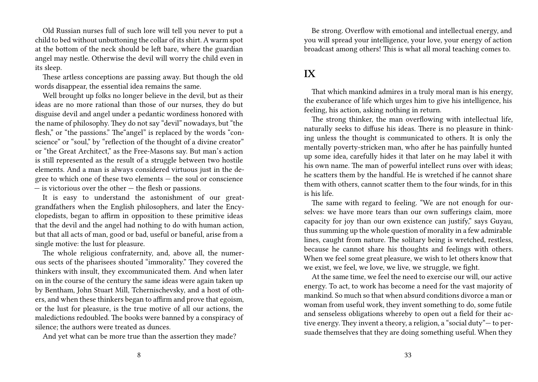Old Russian nurses full of such lore will tell you never to put a child to bed without unbuttoning the collar of its shirt. A warm spot at the bottom of the neck should be left bare, where the guardian angel may nestle. Otherwise the devil will worry the child even in its sleep.

These artless conceptions are passing away. But though the old words disappear, the essential idea remains the same.

Well brought up folks no longer believe in the devil, but as their ideas are no more rational than those of our nurses, they do but disguise devil and angel under a pedantic wordiness honored with the name of philosophy. They do not say "devil" nowadays, but "the flesh," or "the passions." The"angel" is replaced by the words "conscience" or "soul," by "reflection of the thought of a divine creator" or "the Great Architect," as the Free-Masons say. But man's action is still represented as the result of a struggle between two hostile elements. And a man is always considered virtuous just in the degree to which one of these two elements — the soul or conscience — is victorious over the other — the flesh or passions.

It is easy to understand the astonishment of our greatgrandfathers when the English philosophers, and later the Encyclopedists, began to affirm in opposition to these primitive ideas that the devil and the angel had nothing to do with human action, but that all acts of man, good or bad, useful or baneful, arise from a single motive: the lust for pleasure.

The whole religious confraternity, and, above all, the numerous sects of the pharisees shouted "immorality." They covered the thinkers with insult, they excommunicated them. And when later on in the course of the century the same ideas were again taken up by Bentham, John Stuart Mill, Tchernischevsky, and a host of others, and when these thinkers began to affirm and prove that egoism, or the lust for pleasure, is the true motive of all our actions, the maledictions redoubled. The books were banned by a conspiracy of silence; the authors were treated as dunces.

And yet what can be more true than the assertion they made?

Be strong. Overflow with emotional and intellectual energy, and you will spread your intelligence, your love, your energy of action broadcast among others! This is what all moral teaching comes to.

# **IX**

That which mankind admires in a truly moral man is his energy, the exuberance of life which urges him to give his intelligence, his feeling, his action, asking nothing in return.

The strong thinker, the man overflowing with intellectual life, naturally seeks to diffuse his ideas. There is no pleasure in thinking unless the thought is communicated to others. It is only the mentally poverty-stricken man, who after he has painfully hunted up some idea, carefully hides it that later on he may label it with his own name. The man of powerful intellect runs over with ideas; he scatters them by the handful. He is wretched if he cannot share them with others, cannot scatter them to the four winds, for in this is his life.

The same with regard to feeling. "We are not enough for ourselves: we have more tears than our own sufferings claim, more capacity for joy than our own existence can justify," says Guyau, thus summing up the whole question of morality in a few admirable lines, caught from nature. The solitary being is wretched, restless, because he cannot share his thoughts and feelings with others. When we feel some great pleasure, we wish to let others know that we exist, we feel, we love, we live, we struggle, we fight.

At the same time, we feel the need to exercise our will, our active energy. To act, to work has become a need for the vast majority of mankind. So much so that when absurd conditions divorce a man or woman from useful work, they invent something to do, some futile and senseless obligations whereby to open out a field for their active energy. They invent a theory, a religion, a "social duty"— to persuade themselves that they are doing something useful. When they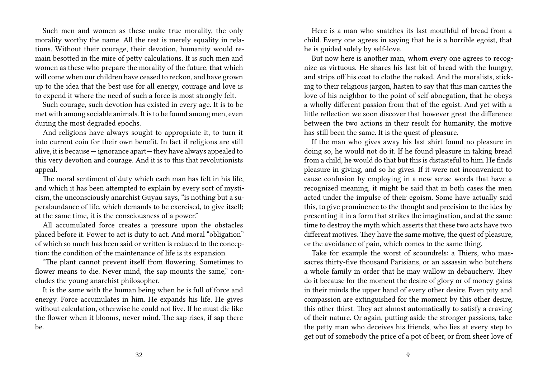Such men and women as these make true morality, the only morality worthy the name. All the rest is merely equality in relations. Without their courage, their devotion, humanity would remain besotted in the mire of petty calculations. It is such men and women as these who prepare the morality of the future, that which will come when our children have ceased to reckon, and have grown up to the idea that the best use for all energy, courage and love is to expend it where the need of such a force is most strongly felt.

Such courage, such devotion has existed in every age. It is to be met with among sociable animals. It is to be found among men, even during the most degraded epochs.

And religions have always sought to appropriate it, to turn it into current coin for their own benefit. In fact if religions are still alive, it is because — ignorance apart— they have always appealed to this very devotion and courage. And it is to this that revolutionists appeal.

The moral sentiment of duty which each man has felt in his life, and which it has been attempted to explain by every sort of mysticism, the unconsciously anarchist Guyau says, "is nothing but a superabundance of life, which demands to be exercised, to give itself; at the same time, it is the consciousness of a power."

All accumulated force creates a pressure upon the obstacles placed before it. Power to act is duty to act. And moral "obligation" of which so much has been said or written is reduced to the conception: the condition of the maintenance of life is its expansion.

"The plant cannot prevent itself from flowering. Sometimes to flower means to die. Never mind, the sap mounts the same," concludes the young anarchist philosopher.

It is the same with the human being when he is full of force and energy. Force accumulates in him. He expands his life. He gives without calculation, otherwise he could not live. If he must die like the flower when it blooms, never mind. The sap rises, if sap there be.

Here is a man who snatches its last mouthful of bread from a child. Every one agrees in saying that he is a horrible egoist, that he is guided solely by self-love.

But now here is another man, whom every one agrees to recognize as virtuous. He shares his last bit of bread with the hungry, and strips off his coat to clothe the naked. And the moralists, sticking to their religious jargon, hasten to say that this man carries the love of his neighbor to the point of self-abnegation, that he obeys a wholly different passion from that of the egoist. And yet with a little reflection we soon discover that however great the difference between the two actions in their result for humanity, the motive has still been the same. It is the quest of pleasure.

If the man who gives away his last shirt found no pleasure in doing so, he would not do it. If he found pleasure in taking bread from a child, he would do that but this is distasteful to him. He finds pleasure in giving, and so he gives. If it were not inconvenient to cause confusion by employing in a new sense words that have a recognized meaning, it might be said that in both cases the men acted under the impulse of their egoism. Some have actually said this, to give prominence to the thought and precision to the idea by presenting it in a form that strikes the imagination, and at the same time to destroy the myth which asserts that these two acts have two different motives. They have the same motive, the quest of pleasure, or the avoidance of pain, which comes to the same thing.

Take for example the worst of scoundrels: a Thiers, who massacres thirty-five thousand Parisians, or an assassin who butchers a whole family in order that he may wallow in debauchery. They do it because for the moment the desire of glory or of money gains in their minds the upper hand of every other desire. Even pity and compassion are extinguished for the moment by this other desire, this other thirst. They act almost automatically to satisfy a craving of their nature. Or again, putting aside the stronger passions, take the petty man who deceives his friends, who lies at every step to get out of somebody the price of a pot of beer, or from sheer love of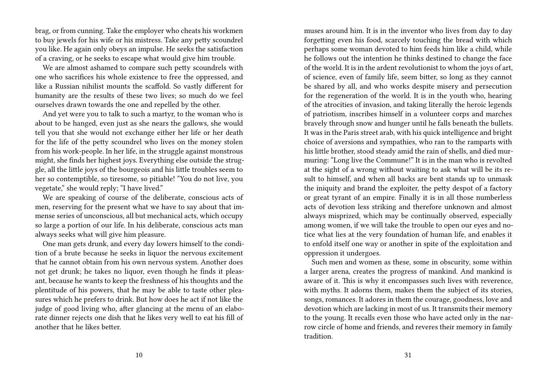brag, or from cunning. Take the employer who cheats his workmen to buy jewels for his wife or his mistress. Take any petty scoundrel you like. He again only obeys an impulse. He seeks the satisfaction of a craving, or he seeks to escape what would give him trouble.

We are almost ashamed to compare such petty scoundrels with one who sacrifices his whole existence to free the oppressed, and like a Russian nihilist mounts the scaffold. So vastly different for humanity are the results of these two lives; so much do we feel ourselves drawn towards the one and repelled by the other.

And yet were you to talk to such a martyr, to the woman who is about to be hanged, even just as she nears the gallows, she would tell you that she would not exchange either her life or her death for the life of the petty scoundrel who lives on the money stolen from his work-people. In her life, in the struggle against monstrous might, she finds her highest joys. Everything else outside the struggle, all the little joys of the bourgeois and his little troubles seem to her so contemptible, so tiresome, so pitiable! "You do not live, you vegetate," she would reply; "I have lived."

We are speaking of course of the deliberate, conscious acts of men, reserving for the present what we have to say about that immense series of unconscious, all but mechanical acts, which occupy so large a portion of our life. In his deliberate, conscious acts man always seeks what will give him pleasure.

One man gets drunk, and every day lowers himself to the condition of a brute because he seeks in liquor the nervous excitement that he cannot obtain from his own nervous system. Another does not get drunk; he takes no liquor, even though he finds it pleasant, because he wants to keep the freshness of his thoughts and the plentitude of his powers, that he may be able to taste other pleasures which he prefers to drink. But how does he act if not like the judge of good living who, after glancing at the menu of an elaborate dinner rejects one dish that he likes very well to eat his fill of another that he likes better.

muses around him. It is in the inventor who lives from day to day forgetting even his food, scarcely touching the bread with which perhaps some woman devoted to him feeds him like a child, while he follows out the intention he thinks destined to change the face of the world. It is in the ardent revolutionist to whom the joys of art, of science, even of family life, seem bitter, so long as they cannot be shared by all, and who works despite misery and persecution for the regeneration of the world. It is in the youth who, hearing of the atrocities of invasion, and taking literally the heroic legends of patriotism, inscribes himself in a volunteer corps and marches bravely through snow and hunger until he falls beneath the bullets. It was in the Paris street arab, with his quick intelligence and bright choice of aversions and sympathies, who ran to the ramparts with his little brother, stood steady amid the rain of shells, and died murmuring: "Long live the Commune!" It is in the man who is revolted at the sight of a wrong without waiting to ask what will be its result to himself, and when all backs are bent stands up to unmask the iniquity and brand the exploiter, the petty despot of a factory or great tyrant of an empire. Finally it is in all those numberless acts of devotion less striking and therefore unknown and almost always misprized, which may be continually observed, especially among women, if we will take the trouble to open our eyes and notice what lies at the very foundation of human life, and enables it to enfold itself one way or another in spite of the exploitation and oppression it undergoes.

Such men and women as these, some in obscurity, some within a larger arena, creates the progress of mankind. And mankind is aware of it. This is why it encompasses such lives with reverence, with myths. It adorns them, makes them the subject of its stories, songs, romances. It adores in them the courage, goodness, love and devotion which are lacking in most of us. It transmits their memory to the young. It recalls even those who have acted only in the narrow circle of home and friends, and reveres their memory in family tradition.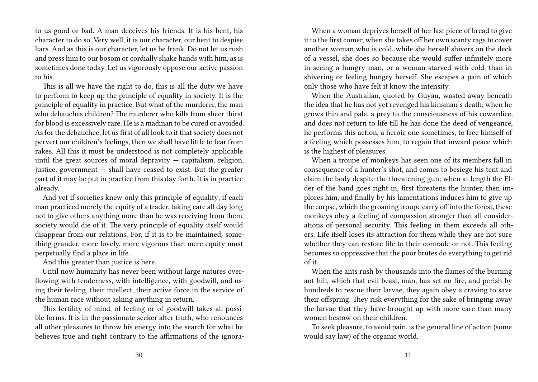to us good or bad. A man deceives his friends. It is his bent, his character to do so. Very well, it is our character, our bent to despise liars. And as this is our character, let us be frank. Do not let us rush and press him to our bosom or cordially shake hands with him, as is sometimes done today. Let us vigorously oppose our active passion to his.

This is all we have the right to do, this is all the duty we have to perform to keep up the principle of equality in society. It is the principle of equality in practice. But what of the murderer, the man who debauches children? The murderer who kills from sheer thirst for blood is excessively rare. He is a madman to be cured or avoided. As for the debauchee, let us first of all look to it that society does not pervert our children's feelings, then we shall have little to fear from rakes. All this it must be understood is not completely applicable until the great sources of moral depravity  $-$  capitalism, religion, justice, government  $-$  shall have ceased to exist. But the greater part of it may be put in practice from this day forth. It is in practice already.

And yet if societies knew only this principle of equality; if each man practiced merely the equity of a trader, taking care all day long not to give others anything more than he was receiving from them, society would die of it. The very principle of equality itself would disappear from our relations. For, if it is to be maintained, something grander, more lovely, more vigorous than mere equity must perpetually find a place in life.

And this greater than justice is here.

Until now humanity has never been without large natures overflowing with tenderness, with intelligence, with goodwill, and using their feeling, their intellect, their active force in the service of the human race without asking anything in return.

This fertility of mind, of feeling or of goodwill takes all possible forms. It is in the passionate seeker after truth, who renounces all other pleasures to throw his energy into the search for what he believes true and right contrary to the affirmations of the ignora-

When a woman deprives herself of her last piece of bread to give it to the first comer, when she takes off her own scanty rags to cover another woman who is cold, while she herself shivers on the deck of a vessel, she does so because she would suffer infinitely more in seeing a hungry man, or a woman starved with cold, than in shivering or feeling hungry herself. She escapes a pain of which only those who have felt it know the intensity.

When the Australian, quoted by Guyau, wasted away beneath the idea that he has not yet revenged his kinsman's death; when he grows thin and pale, a prey to the consciousness of his cowardice, and does not return to life till he has done the deed of vengeance, he performs this action, a heroic one sometimes, to free himself of a feeling which possesses him, to regain that inward peace which is the highest of pleasures.

When a troupe of monkeys has seen one of its members fall in consequence of a hunter's shot, and comes to besiege his tent and claim the body despite the threatening gun; when at length the Elder of the band goes right in, first threatens the hunter, then implores him, and finally by his lamentations induces him to give up the corpse, which the groaning troupe carry off into the forest, these monkeys obey a feeling of compassion stronger than all considerations of personal security. This feeling in them exceeds all others. Life itself loses its attraction for them while they are not sure whether they can restore life to their comrade or not. This feeling becomes so oppressive that the poor brutes do everything to get rid of it.

When the ants rush by thousands into the flames of the burning ant-hill, which that evil beast, man, has set on fire, and perish by hundreds to rescue their larvae, they again obey a craving to save their offspring. They risk everything for the sake of bringing away the larvae that they have brought up with more care than many women bestow on their children.

To seek pleasure, to avoid pain, is the general line of action (some would say law) of the organic world.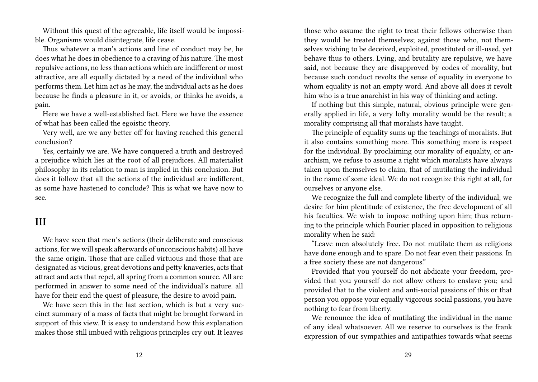Without this quest of the agreeable, life itself would be impossible. Organisms would disintegrate, life cease.

Thus whatever a man's actions and line of conduct may be, he does what he does in obedience to a craving of his nature. The most repulsive actions, no less than actions which are indifferent or most attractive, are all equally dictated by a need of the individual who performs them. Let him act as he may, the individual acts as he does because he finds a pleasure in it, or avoids, or thinks he avoids, a pain.

Here we have a well-established fact. Here we have the essence of what has been called the egoistic theory.

Very well, are we any better off for having reached this general conclusion?

Yes, certainly we are. We have conquered a truth and destroyed a prejudice which lies at the root of all prejudices. All materialist philosophy in its relation to man is implied in this conclusion. But does it follow that all the actions of the individual are indifferent, as some have hastened to conclude? This is what we have now to see.

# **III**

We have seen that men's actions (their deliberate and conscious actions, for we will speak afterwards of unconscious habits) all have the same origin. Those that are called virtuous and those that are designated as vicious, great devotions and petty knaveries, acts that attract and acts that repel, all spring from a common source. All are performed in answer to some need of the individual's nature. all have for their end the quest of pleasure, the desire to avoid pain.

We have seen this in the last section, which is but a very succinct summary of a mass of facts that might be brought forward in support of this view. It is easy to understand how this explanation makes those still imbued with religious principles cry out. It leaves

those who assume the right to treat their fellows otherwise than they would be treated themselves; against those who, not themselves wishing to be deceived, exploited, prostituted or ill-used, yet behave thus to others. Lying, and brutality are repulsive, we have said, not because they are disapproved by codes of morality, but because such conduct revolts the sense of equality in everyone to whom equality is not an empty word. And above all does it revolt him who is a true anarchist in his way of thinking and acting.

If nothing but this simple, natural, obvious principle were generally applied in life, a very lofty morality would be the result; a morality comprising all that moralists have taught.

The principle of equality sums up the teachings of moralists. But it also contains something more. This something more is respect for the individual. By proclaiming our morality of equality, or anarchism, we refuse to assume a right which moralists have always taken upon themselves to claim, that of mutilating the individual in the name of some ideal. We do not recognize this right at all, for ourselves or anyone else.

We recognize the full and complete liberty of the individual; we desire for him plentitude of existence, the free development of all his faculties. We wish to impose nothing upon him; thus returning to the principle which Fourier placed in opposition to religious morality when he said:

"Leave men absolutely free. Do not mutilate them as religions have done enough and to spare. Do not fear even their passions. In a free society these are not dangerous."

Provided that you yourself do not abdicate your freedom, provided that you yourself do not allow others to enslave you; and provided that to the violent and anti-social passions of this or that person you oppose your equally vigorous social passions, you have nothing to fear from liberty.

We renounce the idea of mutilating the individual in the name of any ideal whatsoever. All we reserve to ourselves is the frank expression of our sympathies and antipathies towards what seems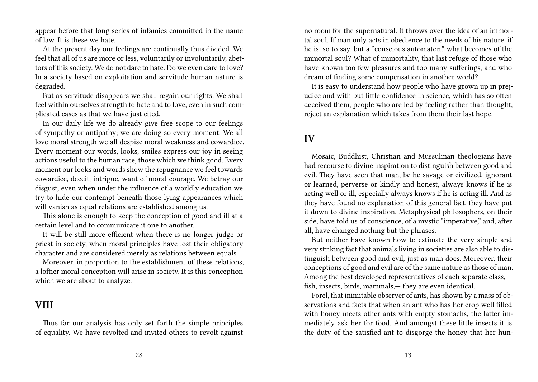appear before that long series of infamies committed in the name of law. It is these we hate.

At the present day our feelings are continually thus divided. We feel that all of us are more or less, voluntarily or involuntarily, abettors of this society. We do not dare to hate. Do we even dare to love? In a society based on exploitation and servitude human nature is degraded.

But as servitude disappears we shall regain our rights. We shall feel within ourselves strength to hate and to love, even in such complicated cases as that we have just cited.

In our daily life we do already give free scope to our feelings of sympathy or antipathy; we are doing so every moment. We all love moral strength we all despise moral weakness and cowardice. Every moment our words, looks, smiles express our joy in seeing actions useful to the human race, those which we think good. Every moment our looks and words show the repugnance we feel towards cowardice, deceit, intrigue, want of moral courage. We betray our disgust, even when under the influence of a worldly education we try to hide our contempt beneath those lying appearances which will vanish as equal relations are established among us.

This alone is enough to keep the conception of good and ill at a certain level and to communicate it one to another.

It will be still more efficient when there is no longer judge or priest in society, when moral principles have lost their obligatory character and are considered merely as relations between equals.

Moreover, in proportion to the establishment of these relations, a loftier moral conception will arise in society. It is this conception which we are about to analyze.

## **VIII**

Thus far our analysis has only set forth the simple principles of equality. We have revolted and invited others to revolt against no room for the supernatural. It throws over the idea of an immortal soul. If man only acts in obedience to the needs of his nature, if he is, so to say, but a "conscious automaton," what becomes of the immortal soul? What of immortality, that last refuge of those who have known too few pleasures and too many sufferings, and who dream of finding some compensation in another world?

It is easy to understand how people who have grown up in prejudice and with but little confidence in science, which has so often deceived them, people who are led by feeling rather than thought, reject an explanation which takes from them their last hope.

## **IV**

Mosaic, Buddhist, Christian and Mussulman theologians have had recourse to divine inspiration to distinguish between good and evil. They have seen that man, be he savage or civilized, ignorant or learned, perverse or kindly and honest, always knows if he is acting well or ill, especially always knows if he is acting ill. And as they have found no explanation of this general fact, they have put it down to divine inspiration. Metaphysical philosophers, on their side, have told us of conscience, of a mystic "imperative," and, after all, have changed nothing but the phrases.

But neither have known how to estimate the very simple and very striking fact that animals living in societies are also able to distinguish between good and evil, just as man does. Moreover, their conceptions of good and evil are of the same nature as those of man. Among the best developed representatives of each separate class, fish, insects, birds, mammals,— they are even identical.

Forel, that inimitable observer of ants, has shown by a mass of observations and facts that when an ant who has her crop well filled with honey meets other ants with empty stomachs, the latter immediately ask her for food. And amongst these little insects it is the duty of the satisfied ant to disgorge the honey that her hun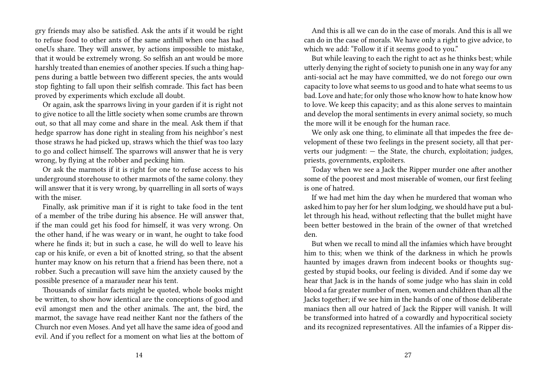gry friends may also be satisfied. Ask the ants if it would be right to refuse food to other ants of the same anthill when one has had oneUs share. They will answer, by actions impossible to mistake, that it would be extremely wrong. So selfish an ant would be more harshly treated than enemies of another species. If such a thing happens during a battle between two different species, the ants would stop fighting to fall upon their selfish comrade. This fact has been proved by experiments which exclude all doubt.

Or again, ask the sparrows living in your garden if it is right not to give notice to all the little society when some crumbs are thrown out, so that all may come and share in the meal. Ask them if that hedge sparrow has done right in stealing from his neighbor's nest those straws he had picked up, straws which the thief was too lazy to go and collect himself. The sparrows will answer that he is very wrong, by flying at the robber and pecking him.

Or ask the marmots if it is right for one to refuse access to his underground storehouse to other marmots of the same colony. they will answer that it is very wrong, by quarrelling in all sorts of ways with the miser.

Finally, ask primitive man if it is right to take food in the tent of a member of the tribe during his absence. He will answer that, if the man could get his food for himself, it was very wrong. On the other hand, if he was weary or in want, he ought to take food where he finds it; but in such a case, he will do well to leave his cap or his knife, or even a bit of knotted string, so that the absent hunter may know on his return that a friend has been there, not a robber. Such a precaution will save him the anxiety caused by the possible presence of a marauder near his tent.

Thousands of similar facts might be quoted, whole books might be written, to show how identical are the conceptions of good and evil amongst men and the other animals. The ant, the bird, the marmot, the savage have read neither Kant nor the fathers of the Church nor even Moses. And yet all have the same idea of good and evil. And if you reflect for a moment on what lies at the bottom of

And this is all we can do in the case of morals. And this is all we can do in the case of morals. We have only a right to give advice, to which we add: "Follow it if it seems good to you."

But while leaving to each the right to act as he thinks best; while utterly denying the right of society to punish one in any way for any anti-social act he may have committed, we do not forego our own capacity to love what seems to us good and to hate what seems to us bad. Love and hate; for only those who know how to hate know how to love. We keep this capacity; and as this alone serves to maintain and develop the moral sentiments in every animal society, so much the more will it be enough for the human race.

We only ask one thing, to eliminate all that impedes the free development of these two feelings in the present society, all that perverts our judgment: — the State, the church, exploitation; judges, priests, governments, exploiters.

Today when we see a Jack the Ripper murder one after another some of the poorest and most miserable of women, our first feeling is one of hatred.

If we had met him the day when he murdered that woman who asked him to pay her for her slum lodging, we should have put a bullet through his head, without reflecting that the bullet might have been better bestowed in the brain of the owner of that wretched den.

But when we recall to mind all the infamies which have brought him to this; when we think of the darkness in which he prowls haunted by images drawn from indecent books or thoughts suggested by stupid books, our feeling is divided. And if some day we hear that Jack is in the hands of some judge who has slain in cold blood a far greater number of men, women and children than all the Jacks together; if we see him in the hands of one of those deliberate maniacs then all our hatred of Jack the Ripper will vanish. It will be transformed into hatred of a cowardly and hypocritical society and its recognized representatives. All the infamies of a Ripper dis-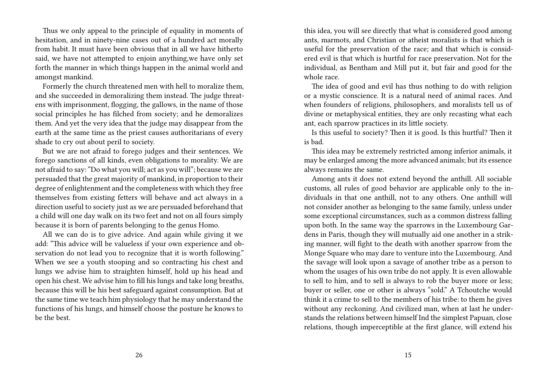Thus we only appeal to the principle of equality in moments of hesitation, and in ninety-nine cases out of a hundred act morally from habit. It must have been obvious that in all we have hitherto said, we have not attempted to enjoin anything,we have only set forth the manner in which things happen in the animal world and amongst mankind.

Formerly the church threatened men with hell to moralize them, and she succeeded in demoralizing them instead. The judge threatens with imprisonment, flogging, the gallows, in the name of those social principles he has filched from society; and he demoralizes them. And yet the very idea that the judge may disappear from the earth at the same time as the priest causes authoritarians of every shade to cry out about peril to society.

But we are not afraid to forego judges and their sentences. We forego sanctions of all kinds, even obligations to morality. We are not afraid to say: "Do what you will; act as you will"; because we are persuaded that the great majority of mankind, in proportion to their degree of enlightenment and the completeness with which they free themselves from existing fetters will behave and act always in a direction useful to society just as we are persuaded beforehand that a child will one day walk on its two feet and not on all fours simply because it is born of parents belonging to the genus Homo.

All we can do is to give advice. And again while giving it we add: "This advice will be valueless if your own experience and observation do not lead you to recognize that it is worth following." When we see a youth stooping and so contracting his chest and lungs we advise him to straighten himself, hold up his head and open his chest. We advise him to fill his lungs and take long breaths, because this will be his best safeguard against consumption. But at the same time we teach him physiology that he may understand the functions of his lungs, and himself choose the posture he knows to be the best.

this idea, you will see directly that what is considered good among ants, marmots, and Christian or atheist moralists is that which is useful for the preservation of the race; and that which is considered evil is that which is hurtful for race preservation. Not for the individual, as Bentham and Mill put it, but fair and good for the whole race.

The idea of good and evil has thus nothing to do with religion or a mystic conscience. It is a natural need of animal races. And when founders of religions, philosophers, and moralists tell us of divine or metaphysical entities, they are only recasting what each ant, each sparrow practices in its little society.

Is this useful to society? Then it is good. Is this hurtful? Then it is bad.

This idea may be extremely restricted among inferior animals, it may be enlarged among the more advanced animals; but its essence always remains the same.

Among ants it does not extend beyond the anthill. All sociable customs, all rules of good behavior are applicable only to the individuals in that one anthill, not to any others. One anthill will not consider another as belonging to the same family, unless under some exceptional circumstances, such as a common distress falling upon both. In the same way the sparrows in the Luxembourg Gardens in Paris, though they will mutually aid one another in a striking manner, will fight to the death with another sparrow from the Monge Square who may dare to venture into the Luxembourg. And the savage will look upon a savage of another tribe as a person to whom the usages of his own tribe do not apply. It is even allowable to sell to him, and to sell is always to rob the buyer more or less; buyer or seller, one or other is always "sold." A Tchoutche would think it a crime to sell to the members of his tribe: to them he gives without any reckoning. And civilized man, when at last he understands the relations between himself Ind the simplest Papuan, close relations, though imperceptible at the first glance, will extend his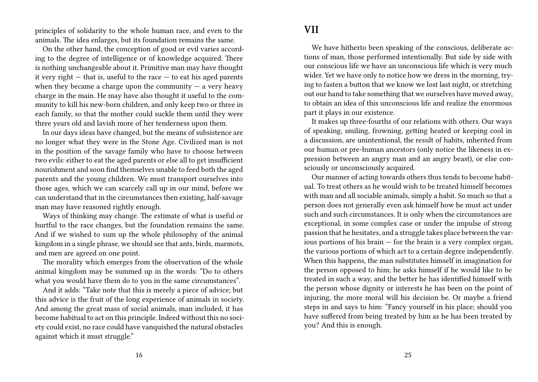principles of solidarity to the whole human race, and even to the animals. The idea enlarges, but its foundation remains the same.

On the other hand, the conception of good or evil varies according to the degree of intelligence or of knowledge acquired. There is nothing unchangeable about it. Primitive man may have thought it very right  $-$  that is, useful to the race  $-$  to eat his aged parents when they became a charge upon the community  $-$  a very heavy charge in the main. He may have also thought it useful to the community to kill his new-born children, and only keep two or three in each family, so that the mother could suckle them until they were three years old and lavish more of her tenderness upon them.

In our days ideas have changed, but the means of subsistence are no longer what they were in the Stone Age. Civilized man is not in the position of the savage family who have to choose between two evils: either to eat the aged parents or else all to get insufficient nourishment and soon find themselves unable to feed both the aged parents and the young children. We must transport ourselves into those ages, which we can scarcely call up in our mind, before we can understand that in the circumstances then existing, half-savage man may have reasoned rightly enough.

Ways of thinking may change. The estimate of what is useful or hurtful to the race changes, but the foundation remains the same. And if we wished to sum up the whole philosophy of the animal kingdom in a single phrase, we should see that ants, birds, marmots, and men are agreed on one point.

The morality which emerges from the observation of the whole animal kingdom may be summed up in the words: "Do to others what you would have them do to you in the same circumstances".

And it adds: "Take note that this is merely a piece of advice; but this advice is the fruit of the long experience of animals in society. And among the great mass of social animals, man included, it has become habitual to act on this principle. Indeed without this no society could exist, no race could have vanquished the natural obstacles against which it must struggle."

## **VII**

We have hitherto been speaking of the conscious, deliberate actions of man, those performed intentionally. But side by side with our conscious life we have an unconscious life which is very much wider. Yet we have only to notice how we dress in the morning, trying to fasten a button that we know we lost last night, or stretching out our hand to take something that we ourselves have moved away, to obtain an idea of this unconscious life and realize the enormous part it plays in our existence.

It makes up three-fourths of our relations with others. Our ways of speaking, smiling, frowning, getting heated or keeping cool in a discussion, are unintentional, the result of habits, inherited from our human or pre-human ancestors (only notice the likeness in expression between an angry man and an angry beast), or else consciously or unconsciously acquired.

Our manner of acting towards others thus tends to become habitual. To treat others as he would wish to be treated himself becomes with man and all sociable animals, simply a habit. So much so that a person does not generally even ask himself how he must act under such and such circumstances. It is only when the circumstances are exceptional, in some complex case or under the impulse of strong passion that he hesitates, and a struggle takes place between the various portions of his brain  $-$  for the brain is a very complex organ, the various portions of which act to a certain degree independently. When this happens, the man substitutes himself in imagination for the person opposed to him; he asks himself if he would like to be treated in such a way, and the better he has identified himself with the person whose dignity or interests he has been on the point of injuring, the more moral will his decision be. Or maybe a friend steps in and says to him: "Fancy yourself in his place; should you have suffered from being treated by him as he has been treated by you? And this is enough.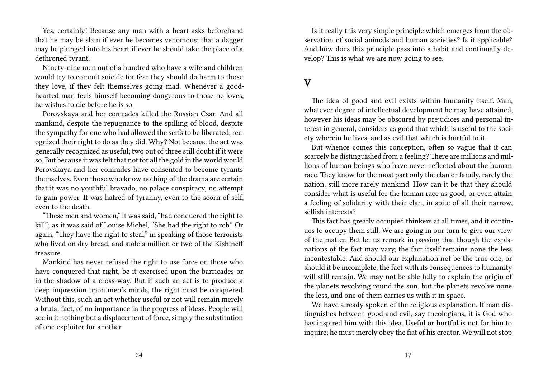Yes, certainly! Because any man with a heart asks beforehand that he may be slain if ever he becomes venomous; that a dagger may be plunged into his heart if ever he should take the place of a dethroned tyrant.

Ninety-nine men out of a hundred who have a wife and children would try to commit suicide for fear they should do harm to those they love, if they felt themselves going mad. Whenever a goodhearted man feels himself becoming dangerous to those he loves, he wishes to die before he is so.

Perovskaya and her comrades killed the Russian Czar. And all mankind, despite the repugnance to the spilling of blood, despite the sympathy for one who had allowed the serfs to be liberated, recognized their right to do as they did. Why? Not because the act was generally recognized as useful; two out of three still doubt if it were so. But because it was felt that not for all the gold in the world would Perovskaya and her comrades have consented to become tyrants themselves. Even those who know nothing of the drama are certain that it was no youthful bravado, no palace conspiracy, no attempt to gain power. It was hatred of tyranny, even to the scorn of self, even to the death.

"These men and women," it was said, "had conquered the right to kill"; as it was said of Louise Michel, "She had the right to rob." Or again, "They have the right to steal," in speaking of those terrorists who lived on dry bread, and stole a million or two of the Kishineff treasure.

Mankind has never refused the right to use force on those who have conquered that right, be it exercised upon the barricades or in the shadow of a cross-way. But if such an act is to produce a deep impression upon men's minds, the right must be conquered. Without this, such an act whether useful or not will remain merely a brutal fact, of no importance in the progress of ideas. People will see in it nothing but a displacement of force, simply the substitution of one exploiter for another.

Is it really this very simple principle which emerges from the observation of social animals and human societies? Is it applicable? And how does this principle pass into a habit and continually develop? This is what we are now going to see.

# **V**

The idea of good and evil exists within humanity itself. Man, whatever degree of intellectual development he may have attained, however his ideas may be obscured by prejudices and personal interest in general, considers as good that which is useful to the society wherein he lives, and as evil that which is hurtful to it.

But whence comes this conception, often so vague that it can scarcely be distinguished from a feeling? There are millions and millions of human beings who have never reflected about the human race. They know for the most part only the clan or family, rarely the nation, still more rarely mankind. How can it be that they should consider what is useful for the human race as good, or even attain a feeling of solidarity with their clan, in spite of all their narrow, selfish interests?

This fact has greatly occupied thinkers at all times, and it continues to occupy them still. We are going in our turn to give our view of the matter. But let us remark in passing that though the explanations of the fact may vary, the fact itself remains none the less incontestable. And should our explanation not be the true one, or should it be incomplete, the fact with its consequences to humanity will still remain. We may not be able fully to explain the origin of the planets revolving round the sun, but the planets revolve none the less, and one of them carries us with it in space.

We have already spoken of the religious explanation. If man distinguishes between good and evil, say theologians, it is God who has inspired him with this idea. Useful or hurtful is not for him to inquire; he must merely obey the fiat of his creator. We will not stop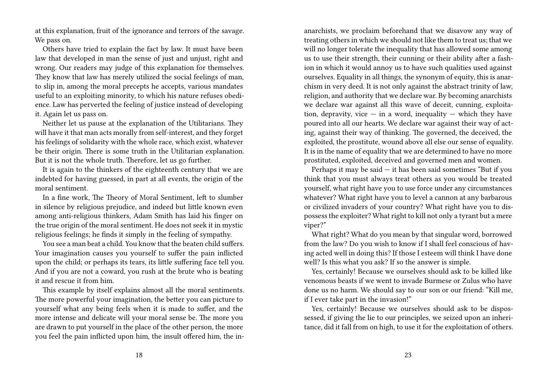at this explanation, fruit of the ignorance and terrors of the savage. We pass on.

Others have tried to explain the fact by law. It must have been law that developed in man the sense of just and unjust, right and wrong. Our readers may judge of this explanation for themselves. They know that law has merely utilized the social feelings of man, to slip in, among the moral precepts he accepts, various mandates useful to an exploiting minority, to which his nature refuses obedience. Law has perverted the feeling of justice instead of developing it. Again let us pass on.

Neither let us pause at the explanation of the Utilitarians. They will have it that man acts morally from self-interest, and they forget his feelings of solidarity with the whole race, which exist, whatever be their origin. There is some truth in the Utilitarian explanation. But it is not the whole truth. Therefore, let us go further.

It is again to the thinkers of the eighteenth century that we are indebted for having guessed, in part at all events, the origin of the moral sentiment.

In a fine work, The Theory of Moral Sentiment, left to slumber in silence by religious prejudice, and indeed but little known even among anti-religious thinkers, Adam Smith has laid his finger on the true origin of the moral sentiment. He does not seek it in mystic religious feelings; he finds it simply in the feeling of sympathy.

You see a man beat a child. You know that the beaten child suffers. Your imagination causes you yourself to suffer the pain inflicted upon the child; or perhaps its tears, its little suffering face tell you. And if you are not a coward, you rush at the brute who is beating it and rescue it from him.

This example by itself explains almost all the moral sentiments. The more powerful your imagination, the better you can picture to yourself what any being feels when it is made to suffer, and the more intense and delicate will your moral sense be. The more you are drawn to put yourself in the place of the other person, the more you feel the pain inflicted upon him, the insult offered him, the in-

anarchists, we proclaim beforehand that we disavow any way of treating others in which we should not like them to treat us; that we will no longer tolerate the inequality that has allowed some among us to use their strength, their cunning or their ability after a fashion in which it would annoy us to have such qualities used against ourselves. Equality in all things, the synonym of equity, this is anarchism in very deed. It is not only against the abstract trinity of law, religion, and authority that we declare war. By becoming anarchists we declare war against all this wave of deceit, cunning, exploitation, depravity, vice  $-$  in a word, inequality  $-$  which they have poured into all our hearts. We declare war against their way of acting, against their way of thinking. The governed, the deceived, the exploited, the prostitute, wound above all else our sense of equality. It is in the name of equality that we are determined to have no more prostituted, exploited, deceived and governed men and women.

Perhaps it may be said  $-$  it has been said sometimes "But if you think that you must always treat others as you would be treated yourself, what right have you to use force under any circumstances whatever? What right have you to level a cannon at any barbarous or civilized invaders of your country? What right have you to dispossess the exploiter? What right to kill not only a tyrant but a mere viper?"

What right? What do you mean by that singular word, borrowed from the law? Do you wish to know if I shall feel conscious of having acted well in doing this? If those I esteem will think I have done well? Is this what you ask? If so the answer is simple.

Yes, certainly! Because we ourselves should ask to be killed like venomous beasts if we went to invade Burmese or Zulus who have done us no harm. We should say to our son or our friend: "Kill me, if I ever take part in the invasion!"

Yes, certainly! Because we ourselves should ask to be dispossessed, if giving the lie to our principles, we seized upon an inheritance, did it fall from on high, to use it for the exploitation of others.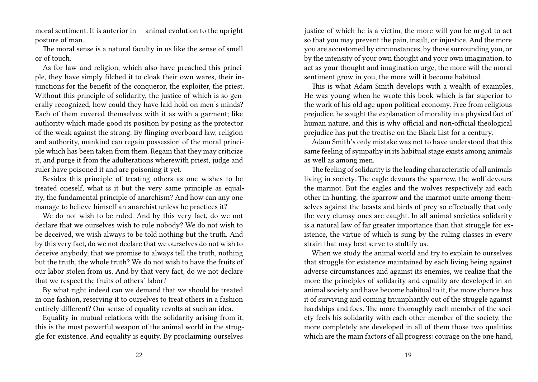moral sentiment. It is anterior in  $-$  animal evolution to the upright posture of man.

The moral sense is a natural faculty in us like the sense of smell or of touch.

As for law and religion, which also have preached this principle, they have simply filched it to cloak their own wares, their injunctions for the benefit of the conqueror, the exploiter, the priest. Without this principle of solidarity, the justice of which is so generally recognized, how could they have laid hold on men's minds? Each of them covered themselves with it as with a garment; like authority which made good its position by posing as the protector of the weak against the strong. By flinging overboard law, religion and authority, mankind can regain possession of the moral principle which has been taken from them. Regain that they may criticize it, and purge it from the adulterations wherewith priest, judge and ruler have poisoned it and are poisoning it yet.

Besides this principle of treating others as one wishes to be treated oneself, what is it but the very same principle as equality, the fundamental principle of anarchism? And how can any one manage to believe himself an anarchist unless he practices it?

We do not wish to be ruled. And by this very fact, do we not declare that we ourselves wish to rule nobody? We do not wish to be deceived, we wish always to be told nothing but the truth. And by this very fact, do we not declare that we ourselves do not wish to deceive anybody, that we promise to always tell the truth, nothing but the truth, the whole truth? We do not wish to have the fruits of our labor stolen from us. And by that very fact, do we not declare that we respect the fruits of others' labor?

By what right indeed can we demand that we should be treated in one fashion, reserving it to ourselves to treat others in a fashion entirely different? Our sense of equality revolts at such an idea.

Equality in mutual relations with the solidarity arising from it, this is the most powerful weapon of the animal world in the struggle for existence. And equality is equity. By proclaiming ourselves

justice of which he is a victim, the more will you be urged to act so that you may prevent the pain, insult, or injustice. And the more you are accustomed by circumstances, by those surrounding you, or by the intensity of your own thought and your own imagination, to act as your thought and imagination urge, the more will the moral sentiment grow in you, the more will it become habitual.

This is what Adam Smith develops with a wealth of examples. He was young when he wrote this book which is far superior to the work of his old age upon political economy. Free from religious prejudice, he sought the explanation of morality in a physical fact of human nature, and this is why official and non-official theological prejudice has put the treatise on the Black List for a century.

Adam Smith's only mistake was not to have understood that this same feeling of sympathy in its habitual stage exists among animals as well as among men.

The feeling of solidarity is the leading characteristic of all animals living in society. The eagle devours the sparrow, the wolf devours the marmot. But the eagles and the wolves respectively aid each other in hunting, the sparrow and the marmot unite among themselves against the beasts and birds of prey so effectually that only the very clumsy ones are caught. In all animal societies solidarity is a natural law of far greater importance than that struggle for existence, the virtue of which is sung by the ruling classes in every strain that may best serve to stultify us.

When we study the animal world and try to explain to ourselves that struggle for existence maintained by each living being against adverse circumstances and against its enemies, we realize that the more the principles of solidarity and equality are developed in an animal society and have become habitual to it, the more chance has it of surviving and coming triumphantly out of the struggle against hardships and foes. The more thoroughly each member of the society feels his solidarity with each other member of the society, the more completely are developed in all of them those two qualities which are the main factors of all progress: courage on the one hand,